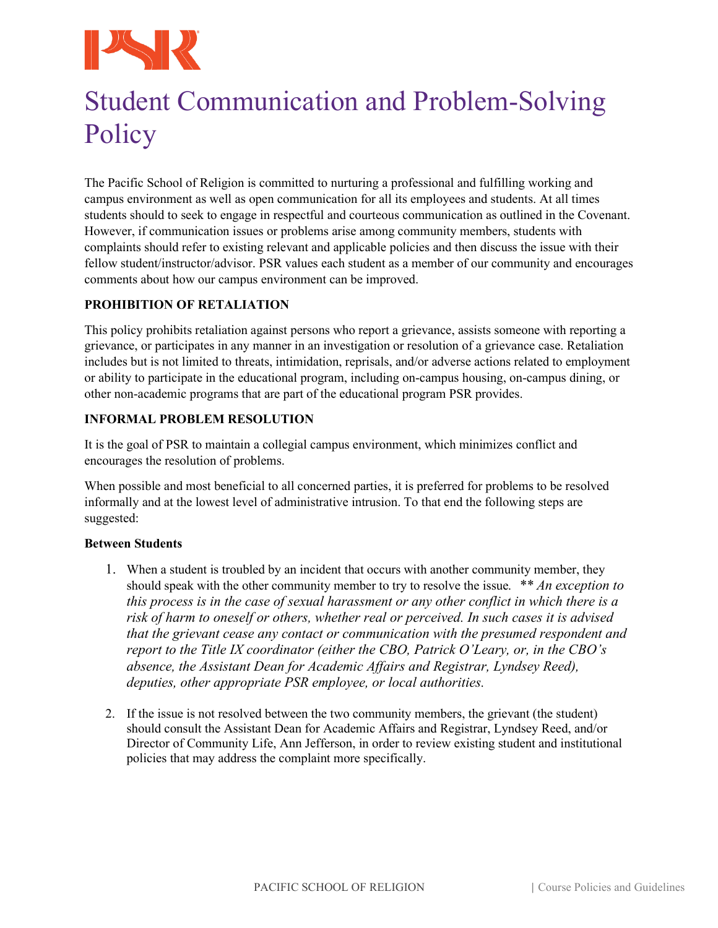

# Student Communication and Problem-Solving **Policy**

The Pacific School of Religion is committed to nurturing a professional and fulfilling working and campus environment as well as open communication for all its employees and students. At all times students should to seek to engage in respectful and courteous communication as outlined in the Covenant. However, if communication issues or problems arise among community members, students with complaints should refer to existing relevant and applicable policies and then discuss the issue with their fellow student/instructor/advisor. PSR values each student as a member of our community and encourages comments about how our campus environment can be improved.

# **PROHIBITION OF RETALIATION**

This policy prohibits retaliation against persons who report a grievance, assists someone with reporting a grievance, or participates in any manner in an investigation or resolution of a grievance case. Retaliation includes but is not limited to threats, intimidation, reprisals, and/or adverse actions related to employment or ability to participate in the educational program, including on-campus housing, on-campus dining, or other non-academic programs that are part of the educational program PSR provides.

# **INFORMAL PROBLEM RESOLUTION**

It is the goal of PSR to maintain a collegial campus environment, which minimizes conflict and encourages the resolution of problems.

When possible and most beneficial to all concerned parties, it is preferred for problems to be resolved informally and at the lowest level of administrative intrusion. To that end the following steps are suggested:

### **Between Students**

- 1. When a student is troubled by an incident that occurs with another community member, they should speak with the other community member to try to resolve the issue*. \*\* An exception to this process is in the case of sexual harassment or any other conflict in which there is a risk of harm to oneself or others, whether real or perceived. In such cases it is advised that the grievant cease any contact or communication with the presumed respondent and report to the Title IX coordinator (either the CBO, Patrick O'Leary, or, in the CBO's absence, the Assistant Dean for Academic Affairs and Registrar, Lyndsey Reed), deputies, other appropriate PSR employee, or local authorities.*
- 2. If the issue is not resolved between the two community members, the grievant (the student) should consult the Assistant Dean for Academic Affairs and Registrar, Lyndsey Reed, and/or Director of Community Life, Ann Jefferson, in order to review existing student and institutional policies that may address the complaint more specifically.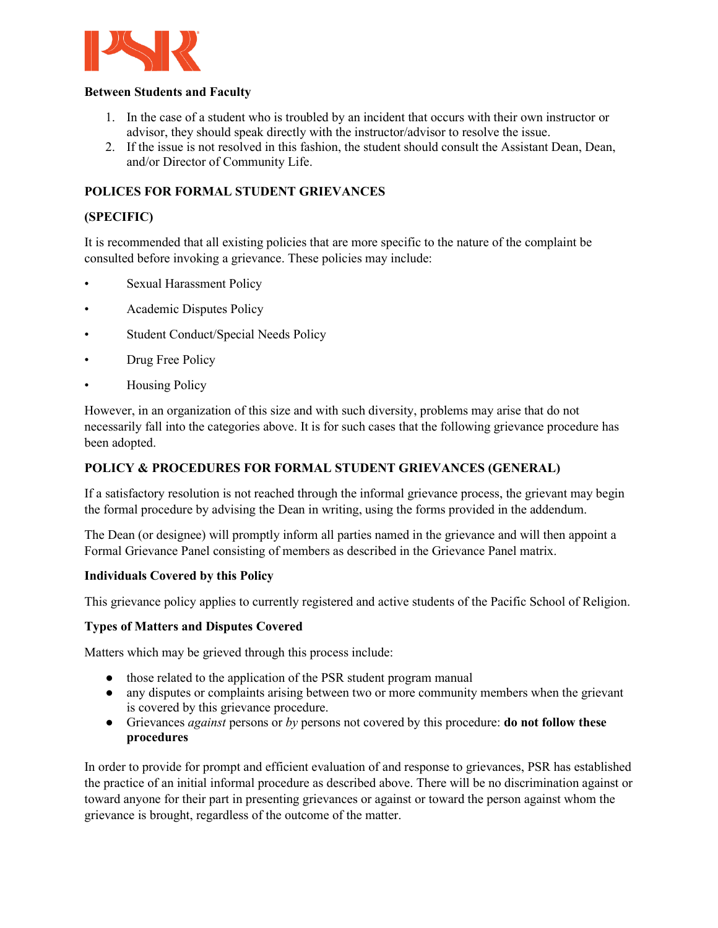

#### **Between Students and Faculty**

- 1. In the case of a student who is troubled by an incident that occurs with their own instructor or advisor, they should speak directly with the instructor/advisor to resolve the issue.
- 2. If the issue is not resolved in this fashion, the student should consult the Assistant Dean, Dean, and/or Director of Community Life.

# **POLICES FOR FORMAL STUDENT GRIEVANCES**

### **(SPECIFIC)**

It is recommended that all existing policies that are more specific to the nature of the complaint be consulted before invoking a grievance. These policies may include:

- Sexual Harassment Policy
- Academic Disputes Policy
- Student Conduct/Special Needs Policy
- Drug Free Policy
- Housing Policy

However, in an organization of this size and with such diversity, problems may arise that do not necessarily fall into the categories above. It is for such cases that the following grievance procedure has been adopted.

## **POLICY & PROCEDURES FOR FORMAL STUDENT GRIEVANCES (GENERAL)**

If a satisfactory resolution is not reached through the informal grievance process, the grievant may begin the formal procedure by advising the Dean in writing, using the forms provided in the addendum.

The Dean (or designee) will promptly inform all parties named in the grievance and will then appoint a Formal Grievance Panel consisting of members as described in the Grievance Panel matrix.

### **Individuals Covered by this Policy**

This grievance policy applies to currently registered and active students of the Pacific School of Religion.

### **Types of Matters and Disputes Covered**

Matters which may be grieved through this process include:

- those related to the application of the PSR student program manual
- any disputes or complaints arising between two or more community members when the grievant is covered by this grievance procedure.
- Grievances *against* persons or *by* persons not covered by this procedure: **do not follow these procedures**

In order to provide for prompt and efficient evaluation of and response to grievances, PSR has established the practice of an initial informal procedure as described above. There will be no discrimination against or toward anyone for their part in presenting grievances or against or toward the person against whom the grievance is brought, regardless of the outcome of the matter.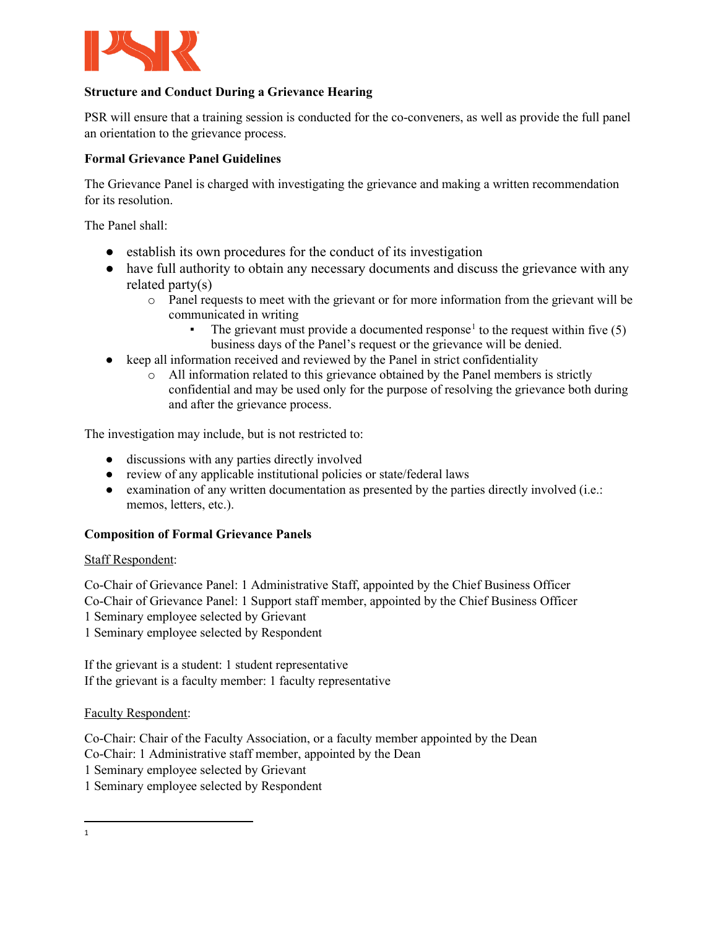

# **Structure and Conduct During a Grievance Hearing**

PSR will ensure that a training session is conducted for the co-conveners, as well as provide the full panel an orientation to the grievance process.

## **Formal Grievance Panel Guidelines**

The Grievance Panel is charged with investigating the grievance and making a written recommendation for its resolution.

The Panel shall:

- establish its own procedures for the conduct of its investigation
- have full authority to obtain any necessary documents and discuss the grievance with any related party(s)
	- o Panel requests to meet with the grievant or for more information from the grievant will be communicated in writing
		- The grievant must provide a documented response<sup>[1](#page-2-0)</sup> to the request within five  $(5)$ business days of the Panel's request or the grievance will be denied.
- keep all information received and reviewed by the Panel in strict confidentiality
	- o All information related to this grievance obtained by the Panel members is strictly confidential and may be used only for the purpose of resolving the grievance both during and after the grievance process.

The investigation may include, but is not restricted to:

- discussions with any parties directly involved
- review of any applicable institutional policies or state/federal laws
- examination of any written documentation as presented by the parties directly involved (i.e.: memos, letters, etc.).

### **Composition of Formal Grievance Panels**

### Staff Respondent:

Co-Chair of Grievance Panel: 1 Administrative Staff, appointed by the Chief Business Officer Co-Chair of Grievance Panel: 1 Support staff member, appointed by the Chief Business Officer 1 Seminary employee selected by Grievant 1 Seminary employee selected by Respondent

If the grievant is a student: 1 student representative If the grievant is a faculty member: 1 faculty representative

Faculty Respondent:

Co-Chair: Chair of the Faculty Association, or a faculty member appointed by the Dean Co-Chair: 1 Administrative staff member, appointed by the Dean 1 Seminary employee selected by Grievant 1 Seminary employee selected by Respondent

<span id="page-2-0"></span><sup>1</sup>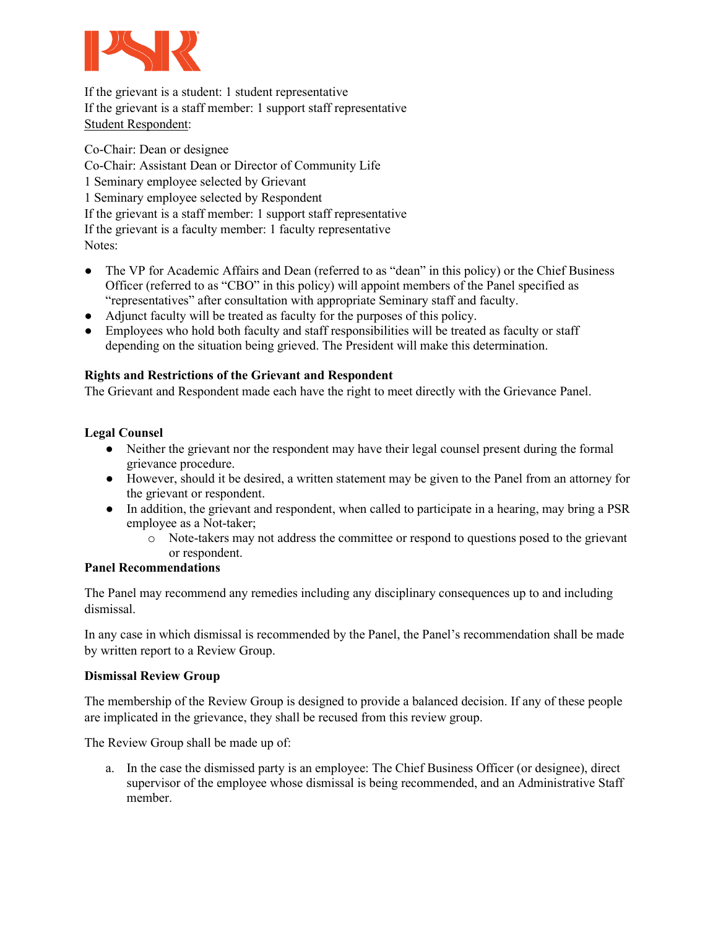

If the grievant is a student: 1 student representative If the grievant is a staff member: 1 support staff representative Student Respondent:

Co-Chair: Dean or designee Co-Chair: Assistant Dean or Director of Community Life 1 Seminary employee selected by Grievant 1 Seminary employee selected by Respondent If the grievant is a staff member: 1 support staff representative If the grievant is a faculty member: 1 faculty representative Notes:

- The VP for Academic Affairs and Dean (referred to as "dean" in this policy) or the Chief Business Officer (referred to as "CBO" in this policy) will appoint members of the Panel specified as "representatives" after consultation with appropriate Seminary staff and faculty.
- Adjunct faculty will be treated as faculty for the purposes of this policy.
- Employees who hold both faculty and staff responsibilities will be treated as faculty or staff depending on the situation being grieved. The President will make this determination.

### **Rights and Restrictions of the Grievant and Respondent**

The Grievant and Respondent made each have the right to meet directly with the Grievance Panel.

# **Legal Counsel**

- Neither the grievant nor the respondent may have their legal counsel present during the formal grievance procedure.
- However, should it be desired, a written statement may be given to the Panel from an attorney for the grievant or respondent.
- In addition, the grievant and respondent, when called to participate in a hearing, may bring a PSR employee as a Not-taker;
	- o Note-takers may not address the committee or respond to questions posed to the grievant or respondent.

## **Panel Recommendations**

The Panel may recommend any remedies including any disciplinary consequences up to and including dismissal.

In any case in which dismissal is recommended by the Panel, the Panel's recommendation shall be made by written report to a Review Group.

### **Dismissal Review Group**

The membership of the Review Group is designed to provide a balanced decision. If any of these people are implicated in the grievance, they shall be recused from this review group.

The Review Group shall be made up of:

a. In the case the dismissed party is an employee: The Chief Business Officer (or designee), direct supervisor of the employee whose dismissal is being recommended, and an Administrative Staff member.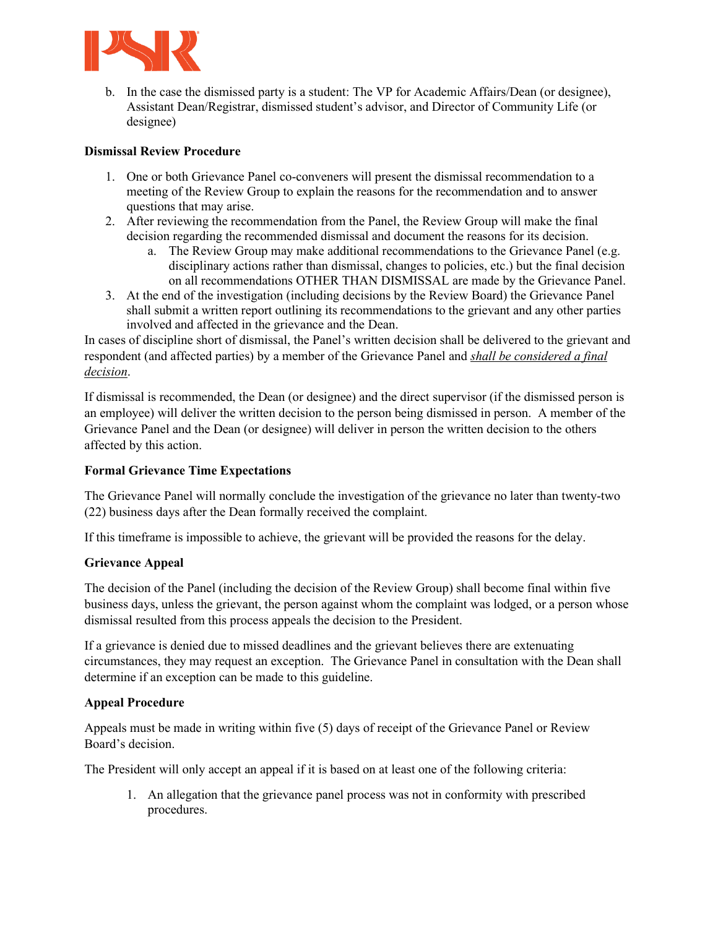

b. In the case the dismissed party is a student: The VP for Academic Affairs/Dean (or designee), Assistant Dean/Registrar, dismissed student's advisor, and Director of Community Life (or designee)

# **Dismissal Review Procedure**

- 1. One or both Grievance Panel co-conveners will present the dismissal recommendation to a meeting of the Review Group to explain the reasons for the recommendation and to answer questions that may arise.
- 2. After reviewing the recommendation from the Panel, the Review Group will make the final decision regarding the recommended dismissal and document the reasons for its decision.
	- a. The Review Group may make additional recommendations to the Grievance Panel (e.g. disciplinary actions rather than dismissal, changes to policies, etc.) but the final decision on all recommendations OTHER THAN DISMISSAL are made by the Grievance Panel.
- 3. At the end of the investigation (including decisions by the Review Board) the Grievance Panel shall submit a written report outlining its recommendations to the grievant and any other parties involved and affected in the grievance and the Dean.

In cases of discipline short of dismissal, the Panel's written decision shall be delivered to the grievant and respondent (and affected parties) by a member of the Grievance Panel and *shall be considered a final decision*.

If dismissal is recommended, the Dean (or designee) and the direct supervisor (if the dismissed person is an employee) will deliver the written decision to the person being dismissed in person. A member of the Grievance Panel and the Dean (or designee) will deliver in person the written decision to the others affected by this action.

# **Formal Grievance Time Expectations**

The Grievance Panel will normally conclude the investigation of the grievance no later than twenty-two (22) business days after the Dean formally received the complaint.

If this timeframe is impossible to achieve, the grievant will be provided the reasons for the delay.

### **Grievance Appeal**

The decision of the Panel (including the decision of the Review Group) shall become final within five business days, unless the grievant, the person against whom the complaint was lodged, or a person whose dismissal resulted from this process appeals the decision to the President.

If a grievance is denied due to missed deadlines and the grievant believes there are extenuating circumstances, they may request an exception. The Grievance Panel in consultation with the Dean shall determine if an exception can be made to this guideline.

### **Appeal Procedure**

Appeals must be made in writing within five (5) days of receipt of the Grievance Panel or Review Board's decision.

The President will only accept an appeal if it is based on at least one of the following criteria:

1. An allegation that the grievance panel process was not in conformity with prescribed procedures.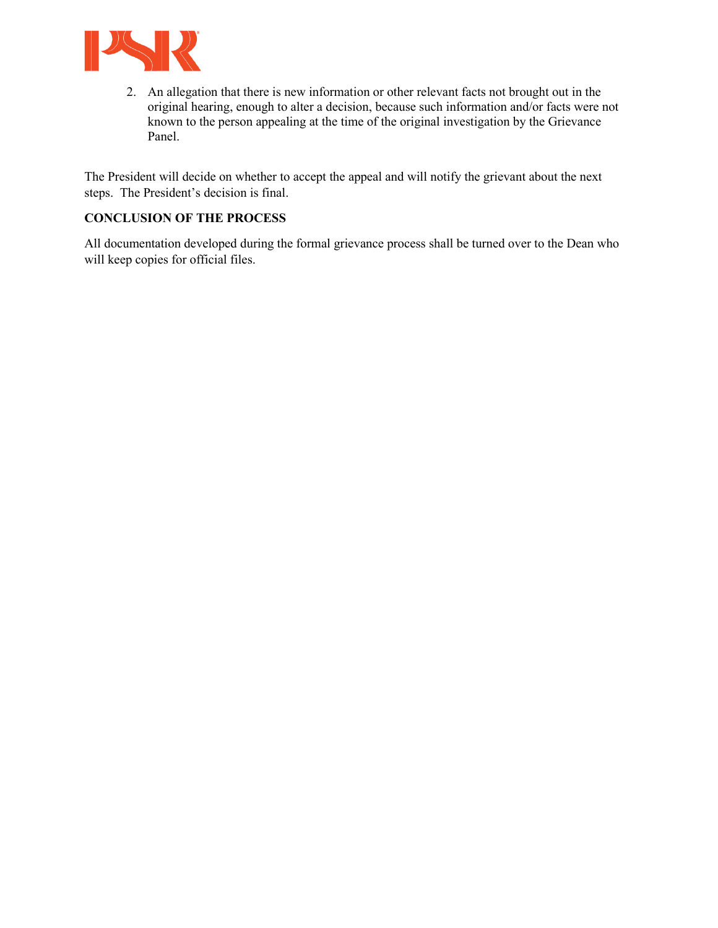

2. An allegation that there is new information or other relevant facts not brought out in the original hearing, enough to alter a decision, because such information and/or facts were not known to the person appealing at the time of the original investigation by the Grievance Panel.

The President will decide on whether to accept the appeal and will notify the grievant about the next steps. The President's decision is final.

# **CONCLUSION OF THE PROCESS**

All documentation developed during the formal grievance process shall be turned over to the Dean who will keep copies for official files.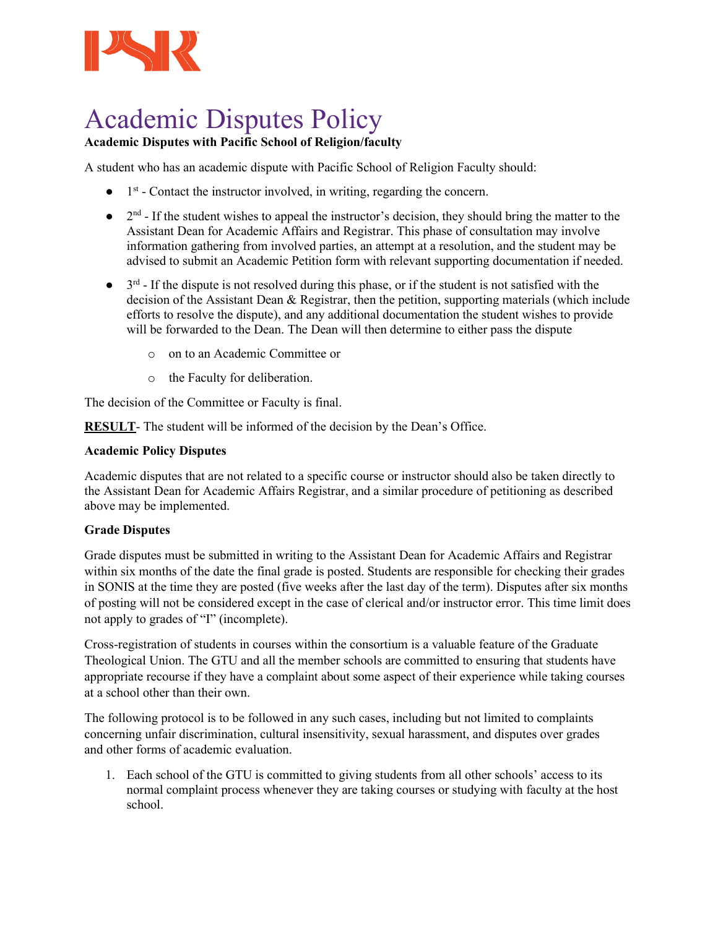

# Academic Disputes Policy

# **Academic Disputes with Pacific School of Religion/faculty**

A student who has an academic dispute with Pacific School of Religion Faculty should:

- $\bullet$  1<sup>st</sup> Contact the instructor involved, in writing, regarding the concern.
- $\bullet$  2<sup>nd</sup> If the student wishes to appeal the instructor's decision, they should bring the matter to the Assistant Dean for Academic Affairs and Registrar. This phase of consultation may involve information gathering from involved parties, an attempt at a resolution, and the student may be advised to submit an Academic Petition form with relevant supporting documentation if needed.
- $\bullet$  3<sup>rd</sup> If the dispute is not resolved during this phase, or if the student is not satisfied with the decision of the Assistant Dean & Registrar, then the petition, supporting materials (which include efforts to resolve the dispute), and any additional documentation the student wishes to provide will be forwarded to the Dean. The Dean will then determine to either pass the dispute
	- o on to an Academic Committee or
	- o the Faculty for deliberation.

The decision of the Committee or Faculty is final.

**RESULT**- The student will be informed of the decision by the Dean's Office.

### **Academic Policy Disputes**

Academic disputes that are not related to a specific course or instructor should also be taken directly to the Assistant Dean for Academic Affairs Registrar, and a similar procedure of petitioning as described above may be implemented.

### **Grade Disputes**

Grade disputes must be submitted in writing to the Assistant Dean for Academic Affairs and Registrar within six months of the date the final grade is posted. Students are responsible for checking their grades in SONIS at the time they are posted (five weeks after the last day of the term). Disputes after six months of posting will not be considered except in the case of clerical and/or instructor error. This time limit does not apply to grades of "I" (incomplete).

Cross-registration of students in courses within the consortium is a valuable feature of the Graduate Theological Union. The GTU and all the member schools are committed to ensuring that students have appropriate recourse if they have a complaint about some aspect of their experience while taking courses at a school other than their own.

The following protocol is to be followed in any such cases, including but not limited to complaints concerning unfair discrimination, cultural insensitivity, sexual harassment, and disputes over grades and other forms of academic evaluation.

1. Each school of the GTU is committed to giving students from all other schools' access to its normal complaint process whenever they are taking courses or studying with faculty at the host school.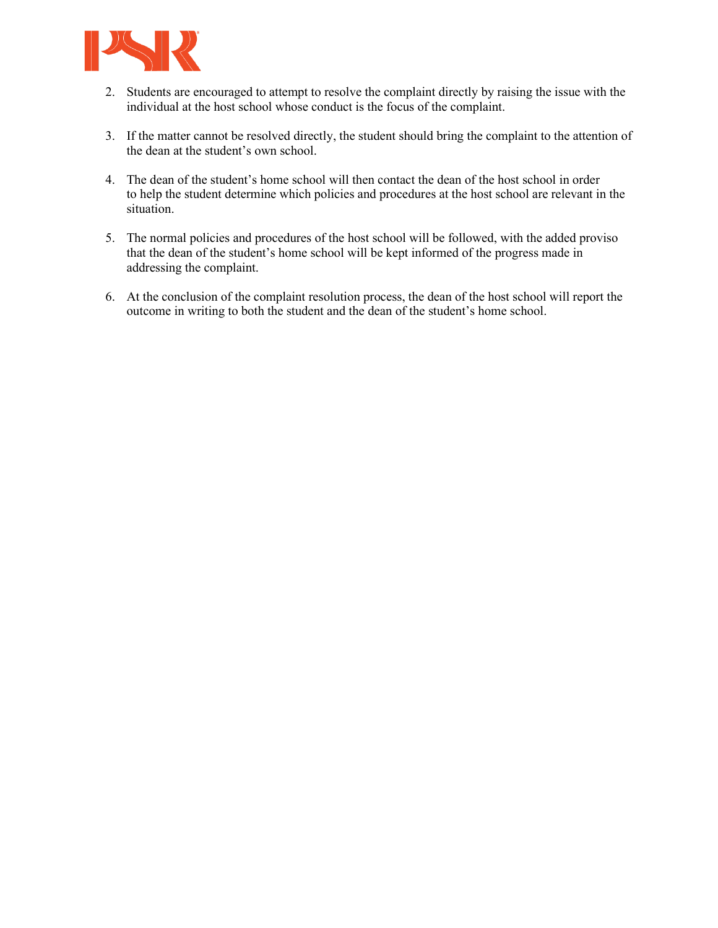

- 2. Students are encouraged to attempt to resolve the complaint directly by raising the issue with the individual at the host school whose conduct is the focus of the complaint.
- 3. If the matter cannot be resolved directly, the student should bring the complaint to the attention of the dean at the student's own school.
- 4. The dean of the student's home school will then contact the dean of the host school in order to help the student determine which policies and procedures at the host school are relevant in the situation.
- 5. The normal policies and procedures of the host school will be followed, with the added proviso that the dean of the student's home school will be kept informed of the progress made in addressing the complaint.
- 6. At the conclusion of the complaint resolution process, the dean of the host school will report the outcome in writing to both the student and the dean of the student's home school.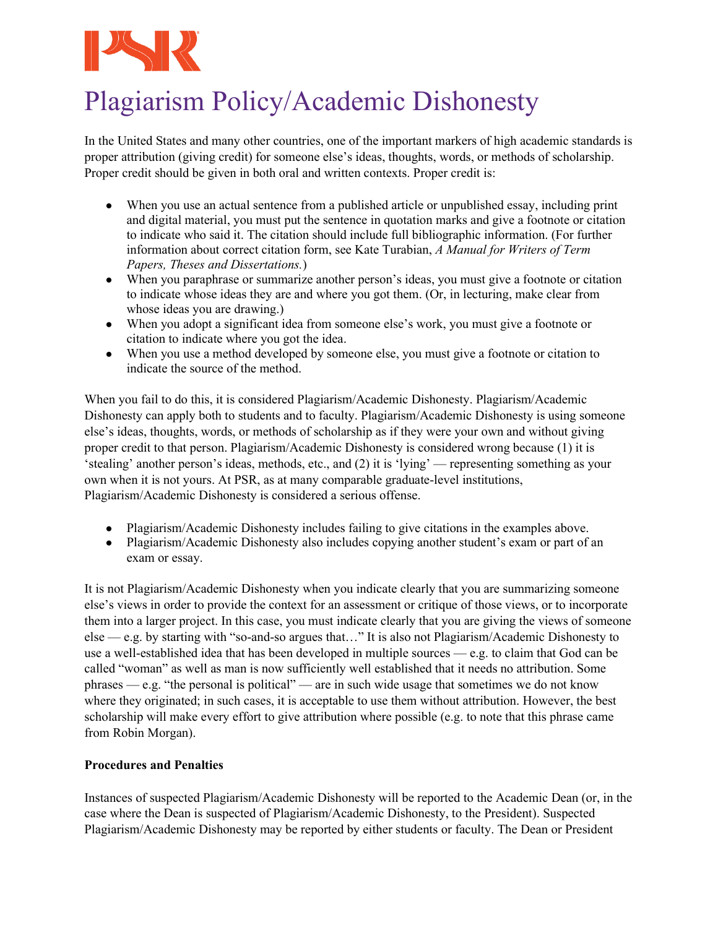

# Plagiarism Policy/Academic Dishonesty

In the United States and many other countries, one of the important markers of high academic standards is proper attribution (giving credit) for someone else's ideas, thoughts, words, or methods of scholarship. Proper credit should be given in both oral and written contexts. Proper credit is:

- When you use an actual sentence from a published article or unpublished essay, including print and digital material, you must put the sentence in quotation marks and give a footnote or citation to indicate who said it. The citation should include full bibliographic information. (For further information about correct citation form, see Kate Turabian, *A Manual for Writers of Term Papers, Theses and Dissertations.*)
- When you paraphrase or summarize another person's ideas, you must give a footnote or citation to indicate whose ideas they are and where you got them. (Or, in lecturing, make clear from whose ideas you are drawing.)
- When you adopt a significant idea from someone else's work, you must give a footnote or citation to indicate where you got the idea.
- When you use a method developed by someone else, you must give a footnote or citation to indicate the source of the method.

When you fail to do this, it is considered Plagiarism/Academic Dishonesty. Plagiarism/Academic Dishonesty can apply both to students and to faculty. Plagiarism/Academic Dishonesty is using someone else's ideas, thoughts, words, or methods of scholarship as if they were your own and without giving proper credit to that person. Plagiarism/Academic Dishonesty is considered wrong because (1) it is 'stealing' another person's ideas, methods, etc., and (2) it is 'lying' — representing something as your own when it is not yours. At PSR, as at many comparable graduate-level institutions, Plagiarism/Academic Dishonesty is considered a serious offense.

- Plagiarism/Academic Dishonesty includes failing to give citations in the examples above.
- Plagiarism/Academic Dishonesty also includes copying another student's exam or part of an exam or essay.

It is not Plagiarism/Academic Dishonesty when you indicate clearly that you are summarizing someone else's views in order to provide the context for an assessment or critique of those views, or to incorporate them into a larger project. In this case, you must indicate clearly that you are giving the views of someone else — e.g. by starting with "so-and-so argues that…" It is also not Plagiarism/Academic Dishonesty to use a well-established idea that has been developed in multiple sources — e.g. to claim that God can be called "woman" as well as man is now sufficiently well established that it needs no attribution. Some phrases — e.g. "the personal is political" — are in such wide usage that sometimes we do not know where they originated; in such cases, it is acceptable to use them without attribution. However, the best scholarship will make every effort to give attribution where possible (e.g. to note that this phrase came from Robin Morgan).

# **Procedures and Penalties**

Instances of suspected Plagiarism/Academic Dishonesty will be reported to the Academic Dean (or, in the case where the Dean is suspected of Plagiarism/Academic Dishonesty, to the President). Suspected Plagiarism/Academic Dishonesty may be reported by either students or faculty. The Dean or President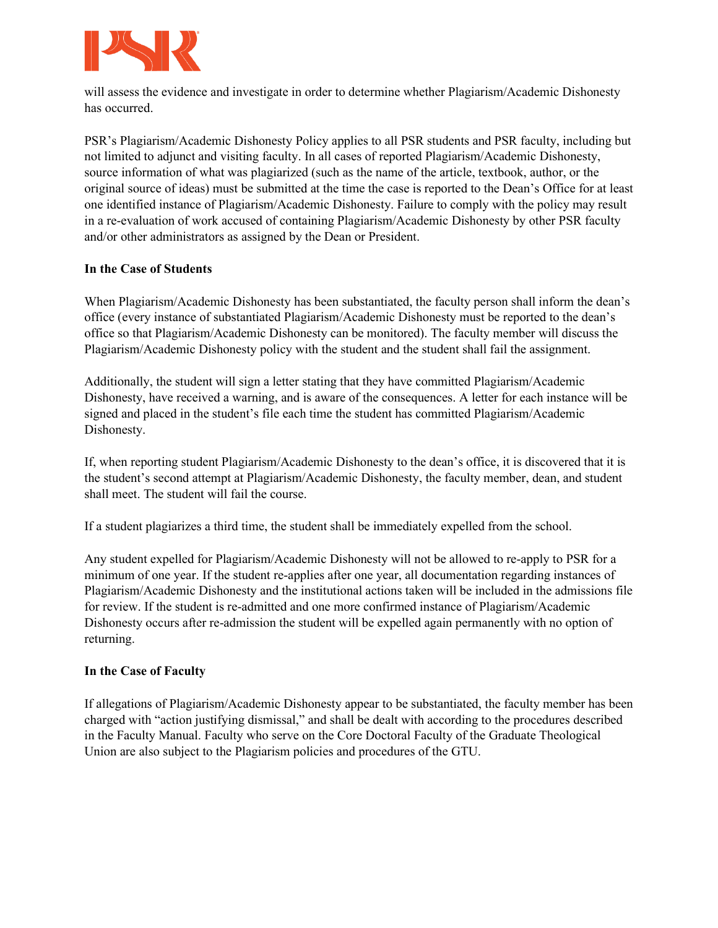

will assess the evidence and investigate in order to determine whether Plagiarism/Academic Dishonesty has occurred.

PSR's Plagiarism/Academic Dishonesty Policy applies to all PSR students and PSR faculty, including but not limited to adjunct and visiting faculty. In all cases of reported Plagiarism/Academic Dishonesty, source information of what was plagiarized (such as the name of the article, textbook, author, or the original source of ideas) must be submitted at the time the case is reported to the Dean's Office for at least one identified instance of Plagiarism/Academic Dishonesty. Failure to comply with the policy may result in a re-evaluation of work accused of containing Plagiarism/Academic Dishonesty by other PSR faculty and/or other administrators as assigned by the Dean or President.

# **In the Case of Students**

When Plagiarism/Academic Dishonesty has been substantiated, the faculty person shall inform the dean's office (every instance of substantiated Plagiarism/Academic Dishonesty must be reported to the dean's office so that Plagiarism/Academic Dishonesty can be monitored). The faculty member will discuss the Plagiarism/Academic Dishonesty policy with the student and the student shall fail the assignment.

Additionally, the student will sign a letter stating that they have committed Plagiarism/Academic Dishonesty, have received a warning, and is aware of the consequences. A letter for each instance will be signed and placed in the student's file each time the student has committed Plagiarism/Academic Dishonesty.

If, when reporting student Plagiarism/Academic Dishonesty to the dean's office, it is discovered that it is the student's second attempt at Plagiarism/Academic Dishonesty, the faculty member, dean, and student shall meet. The student will fail the course.

If a student plagiarizes a third time, the student shall be immediately expelled from the school.

Any student expelled for Plagiarism/Academic Dishonesty will not be allowed to re-apply to PSR for a minimum of one year. If the student re-applies after one year, all documentation regarding instances of Plagiarism/Academic Dishonesty and the institutional actions taken will be included in the admissions file for review. If the student is re-admitted and one more confirmed instance of Plagiarism/Academic Dishonesty occurs after re-admission the student will be expelled again permanently with no option of returning.

### **In the Case of Faculty**

If allegations of Plagiarism/Academic Dishonesty appear to be substantiated, the faculty member has been charged with "action justifying dismissal," and shall be dealt with according to the procedures described in the Faculty Manual. Faculty who serve on the Core Doctoral Faculty of the Graduate Theological Union are also subject to the Plagiarism policies and procedures of the GTU.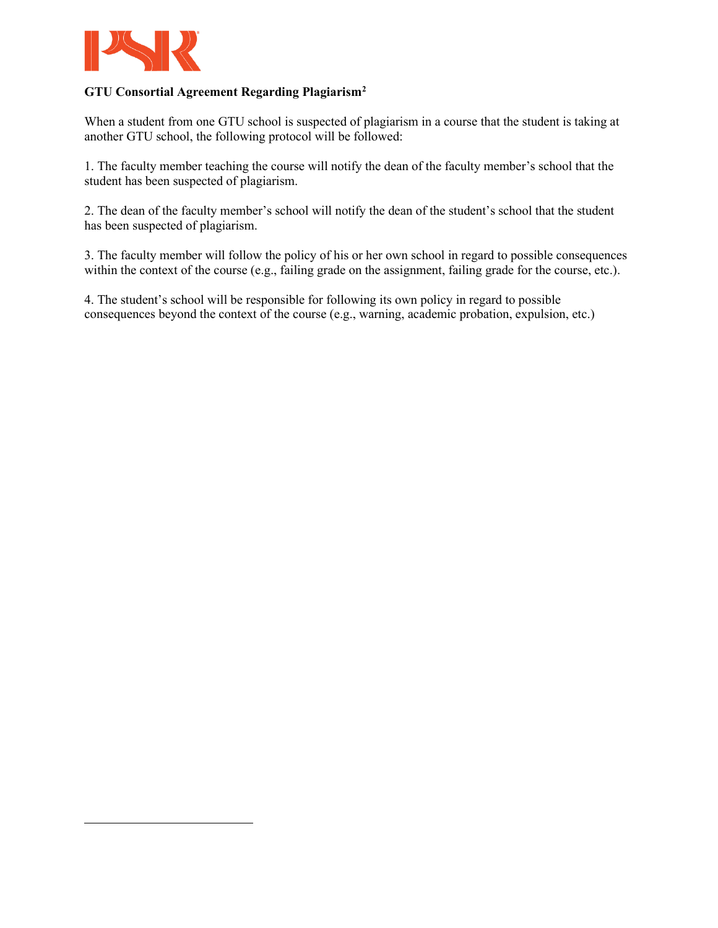

# **GTU Consortial Agreement Regarding Plagiarism[2](#page-10-0)**

When a student from one GTU school is suspected of plagiarism in a course that the student is taking at another GTU school, the following protocol will be followed:

1. The faculty member teaching the course will notify the dean of the faculty member's school that the student has been suspected of plagiarism.

2. The dean of the faculty member's school will notify the dean of the student's school that the student has been suspected of plagiarism.

3. The faculty member will follow the policy of his or her own school in regard to possible consequences within the context of the course (e.g., failing grade on the assignment, failing grade for the course, etc.).

<span id="page-10-0"></span>4. The student's school will be responsible for following its own policy in regard to possible consequences beyond the context of the course (e.g., warning, academic probation, expulsion, etc.)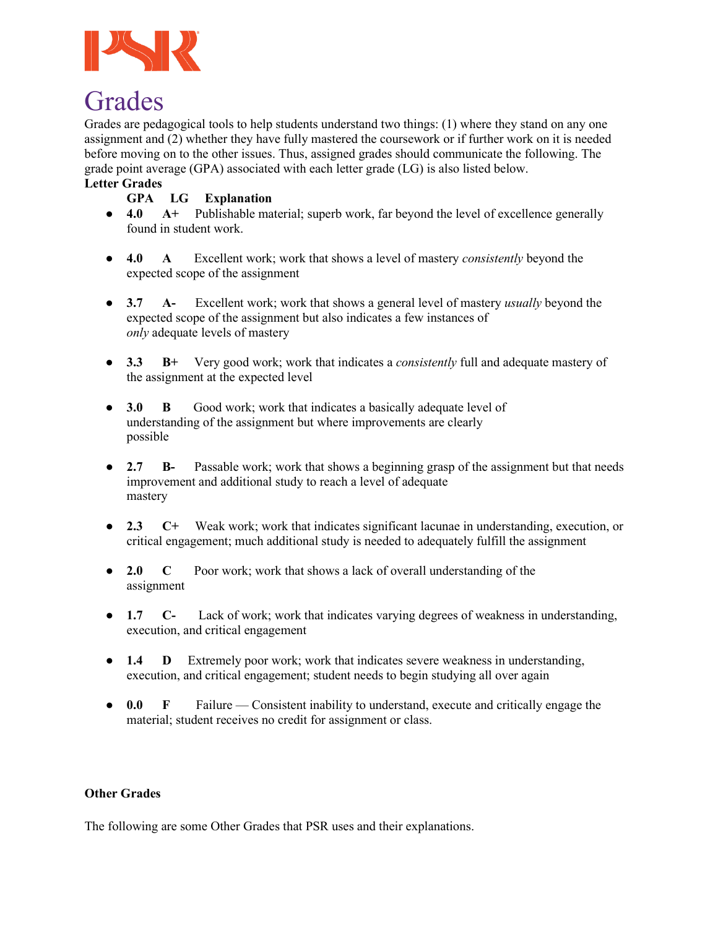

# Grades

Grades are pedagogical tools to help students understand two things: (1) where they stand on any one assignment and (2) whether they have fully mastered the coursework or if further work on it is needed before moving on to the other issues. Thus, assigned grades should communicate the following. The grade point average (GPA) associated with each letter grade (LG) is also listed below.

# **Letter Grades**

# **GPA LG Explanation**

- **4.0 A+** Publishable material; superb work, far beyond the level of excellence generally found in student work.
- **4.0 A** Excellent work; work that shows a level of mastery *consistently* beyond the expected scope of the assignment
- **3.7 A-** Excellent work; work that shows a general level of mastery *usually* beyond the expected scope of the assignment but also indicates a few instances of *only* adequate levels of mastery
- **3.3 B+** Very good work; work that indicates a *consistently* full and adequate mastery of the assignment at the expected level
- **3.0 B** Good work; work that indicates a basically adequate level of understanding of the assignment but where improvements are clearly possible
- **2.7 B-** Passable work; work that shows a beginning grasp of the assignment but that needs improvement and additional study to reach a level of adequate mastery
- **2.3 C+** Weak work; work that indicates significant lacunae in understanding, execution, or critical engagement; much additional study is needed to adequately fulfill the assignment
- **2.0 C** Poor work; work that shows a lack of overall understanding of the assignment
- **1.7 C-** Lack of work; work that indicates varying degrees of weakness in understanding, execution, and critical engagement
- **1.4 D** Extremely poor work; work that indicates severe weakness in understanding, execution, and critical engagement; student needs to begin studying all over again
- **0.0 F** Failure Consistent inability to understand, execute and critically engage the material; student receives no credit for assignment or class.

### **Other Grades**

The following are some Other Grades that PSR uses and their explanations.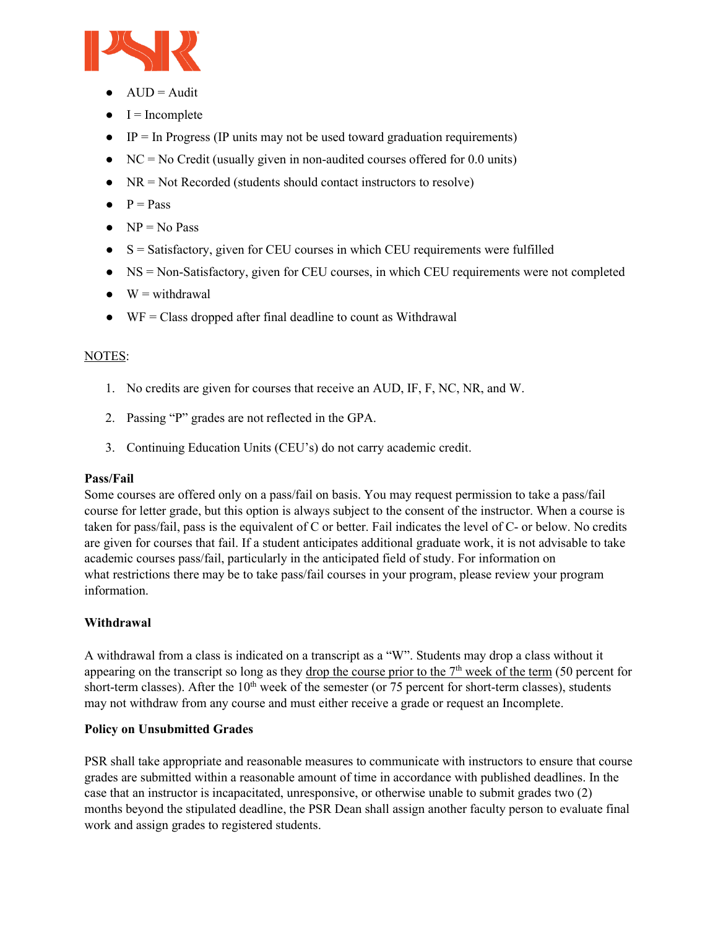

- $\bullet$  AUD = Audit
- $\bullet$  I = Incomplete
- $\bullet$  IP = In Progress (IP units may not be used toward graduation requirements)
- $\bullet$  NC = No Credit (usually given in non-audited courses offered for 0.0 units)
- $\bullet$  NR = Not Recorded (students should contact instructors to resolve)
- $\bullet$  P = Pass
- $\bullet \quad NP = No Pass$
- $\bullet$  S = Satisfactory, given for CEU courses in which CEU requirements were fulfilled
- NS = Non-Satisfactory, given for CEU courses, in which CEU requirements were not completed
- $\bullet$  W = withdrawal
- $\bullet$  WF = Class dropped after final deadline to count as Withdrawal

# NOTES:

- 1. No credits are given for courses that receive an AUD, IF, F, NC, NR, and W.
- 2. Passing "P" grades are not reflected in the GPA.
- 3. Continuing Education Units (CEU's) do not carry academic credit.

### **Pass/Fail**

Some courses are offered only on a pass/fail on basis. You may request permission to take a pass/fail course for letter grade, but this option is always subject to the consent of the instructor. When a course is taken for pass/fail, pass is the equivalent of C or better. Fail indicates the level of C- or below. No credits are given for courses that fail. If a student anticipates additional graduate work, it is not advisable to take academic courses pass/fail, particularly in the anticipated field of study. For information on what restrictions there may be to take pass/fail courses in your program, please review your program information.

# **Withdrawal**

A withdrawal from a class is indicated on a transcript as a "W". Students may drop a class without it appearing on the transcript so long as they drop the course prior to the  $7<sup>th</sup>$  week of the term (50 percent for short-term classes). After the  $10<sup>th</sup>$  week of the semester (or 75 percent for short-term classes), students may not withdraw from any course and must either receive a grade or request an Incomplete.

### **Policy on Unsubmitted Grades**

PSR shall take appropriate and reasonable measures to communicate with instructors to ensure that course grades are submitted within a reasonable amount of time in accordance with published deadlines. In the case that an instructor is incapacitated, unresponsive, or otherwise unable to submit grades two (2) months beyond the stipulated deadline, the PSR Dean shall assign another faculty person to evaluate final work and assign grades to registered students.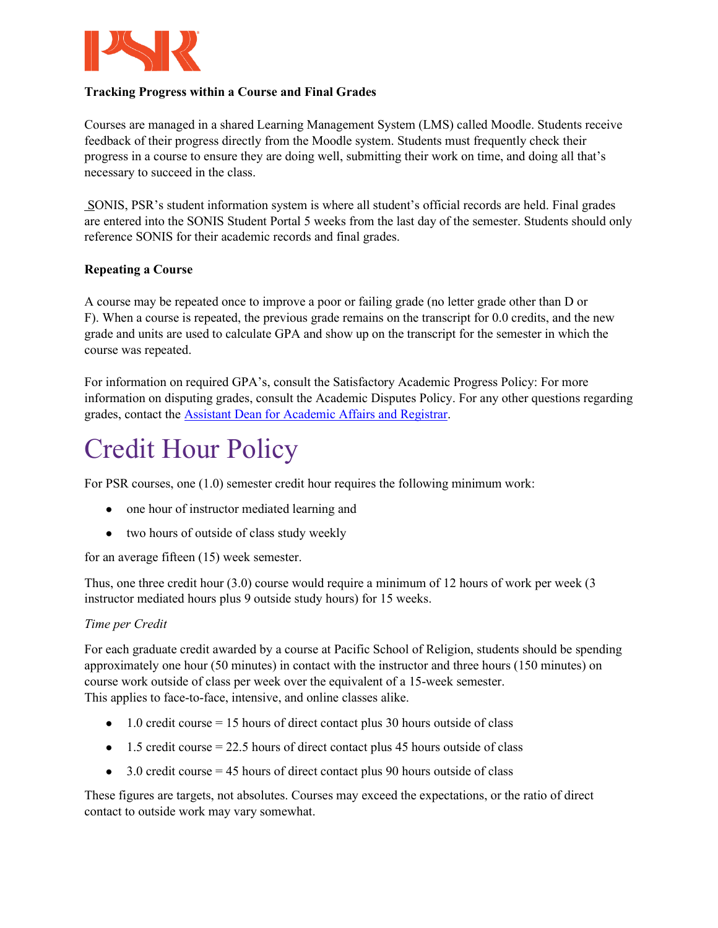

# **Tracking Progress within a Course and Final Grades**

Courses are managed in a shared Learning Management System (LMS) called Moodle. Students receive feedback of their progress directly from the Moodle system. Students must frequently check their progress in a course to ensure they are doing well, submitting their work on time, and doing all that's necessary to succeed in the class.

SONIS, PSR's student information system is where all student's official records are held. Final grades are entered into the SONIS Student Portal 5 weeks from the last day of the semester. Students should only reference SONIS for their academic records and final grades.

# **Repeating a Course**

A course may be repeated once to improve a poor or failing grade (no letter grade other than D or F). When a course is repeated, the previous grade remains on the transcript for 0.0 credits, and the new grade and units are used to calculate GPA and show up on the transcript for the semester in which the course was repeated.

For information on required GPA's, consult the Satisfactory Academic Progress Policy: For more information on disputing grades, consult the Academic Disputes Policy. For any other questions regarding grades, contact the [Assistant Dean for Academic Affairs and Registrar.](mailto:lreed@psr.edu)

# Credit Hour Policy

For PSR courses, one (1.0) semester credit hour requires the following minimum work:

- one hour of instructor mediated learning and
- two hours of outside of class study weekly

for an average fifteen (15) week semester.

Thus, one three credit hour (3.0) course would require a minimum of 12 hours of work per week (3 instructor mediated hours plus 9 outside study hours) for 15 weeks.

### *Time per Credit*

For each graduate credit awarded by a course at Pacific School of Religion, students should be spending approximately one hour (50 minutes) in contact with the instructor and three hours (150 minutes) on course work outside of class per week over the equivalent of a 15-week semester. This applies to face-to-face, intensive, and online classes alike.

- $\bullet$  1.0 credit course = 15 hours of direct contact plus 30 hours outside of class
- $\bullet$  1.5 credit course = 22.5 hours of direct contact plus 45 hours outside of class
- $\bullet$  3.0 credit course = 45 hours of direct contact plus 90 hours outside of class

These figures are targets, not absolutes. Courses may exceed the expectations, or the ratio of direct contact to outside work may vary somewhat.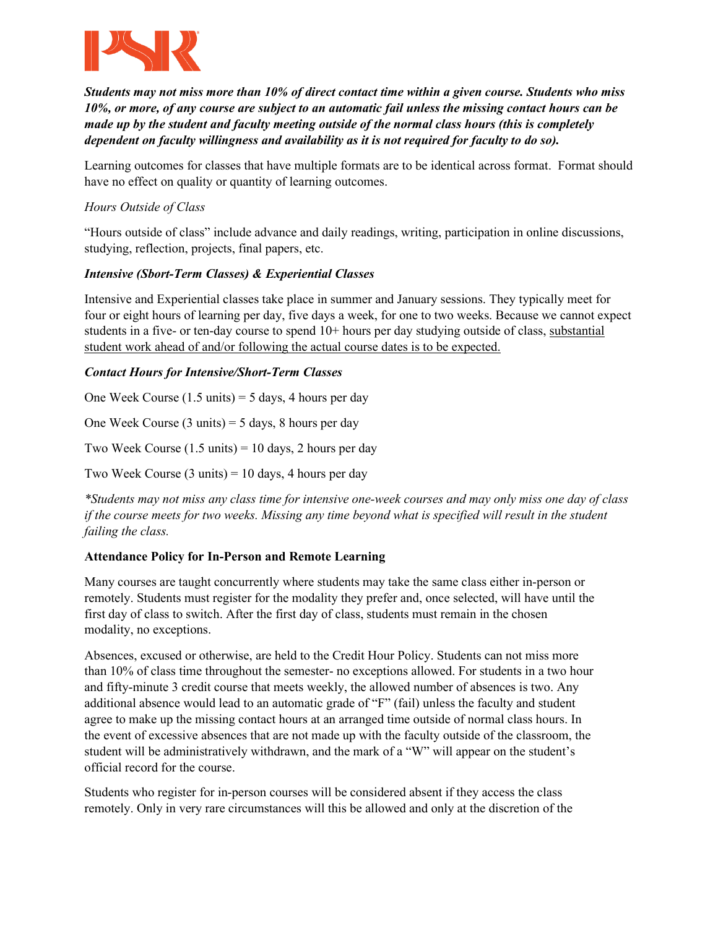

*Students may not miss more than 10% of direct contact time within a given course. Students who miss 10%, or more, of any course are subject to an automatic fail unless the missing contact hours can be made up by the student and faculty meeting outside of the normal class hours (this is completely dependent on faculty willingness and availability as it is not required for faculty to do so).*

Learning outcomes for classes that have multiple formats are to be identical across format. Format should have no effect on quality or quantity of learning outcomes.

# *Hours Outside of Class*

"Hours outside of class" include advance and daily readings, writing, participation in online discussions, studying, reflection, projects, final papers, etc.

# *Intensive (Sbort-Term Classes) & Experiential Classes*

Intensive and Experiential classes take place in summer and January sessions. They typically meet for four or eight hours of learning per day, five days a week, for one to two weeks. Because we cannot expect students in a five- or ten-day course to spend 10+ hours per day studying outside of class, substantial student work ahead of and/or following the actual course dates is to be expected.

# *Contact Hours for Intensive/Short-Term Classes*

One Week Course  $(1.5 \text{ units}) = 5 \text{ days}$ , 4 hours per day

One Week Course  $(3 \text{ units}) = 5 \text{ days}$ , 8 hours per day

Two Week Course  $(1.5 \text{ units}) = 10 \text{ days}$ , 2 hours per day

Two Week Course  $(3 \text{ units}) = 10 \text{ days}$ , 4 hours per day

*\*Students may not miss any class time for intensive one-week courses and may only miss one day of class if the course meets for two weeks. Missing any time beyond what is specified will result in the student failing the class.*

# **Attendance Policy for In-Person and Remote Learning**

Many courses are taught concurrently where students may take the same class either in-person or remotely. Students must register for the modality they prefer and, once selected, will have until the first day of class to switch. After the first day of class, students must remain in the chosen modality, no exceptions.

Absences, excused or otherwise, are held to the Credit Hour Policy. Students can not miss more than 10% of class time throughout the semester- no exceptions allowed. For students in a two hour and fifty-minute 3 credit course that meets weekly, the allowed number of absences is two. Any additional absence would lead to an automatic grade of "F" (fail) unless the faculty and student agree to make up the missing contact hours at an arranged time outside of normal class hours. In the event of excessive absences that are not made up with the faculty outside of the classroom, the student will be administratively withdrawn, and the mark of a "W" will appear on the student's official record for the course.

Students who register for in-person courses will be considered absent if they access the class remotely. Only in very rare circumstances will this be allowed and only at the discretion of the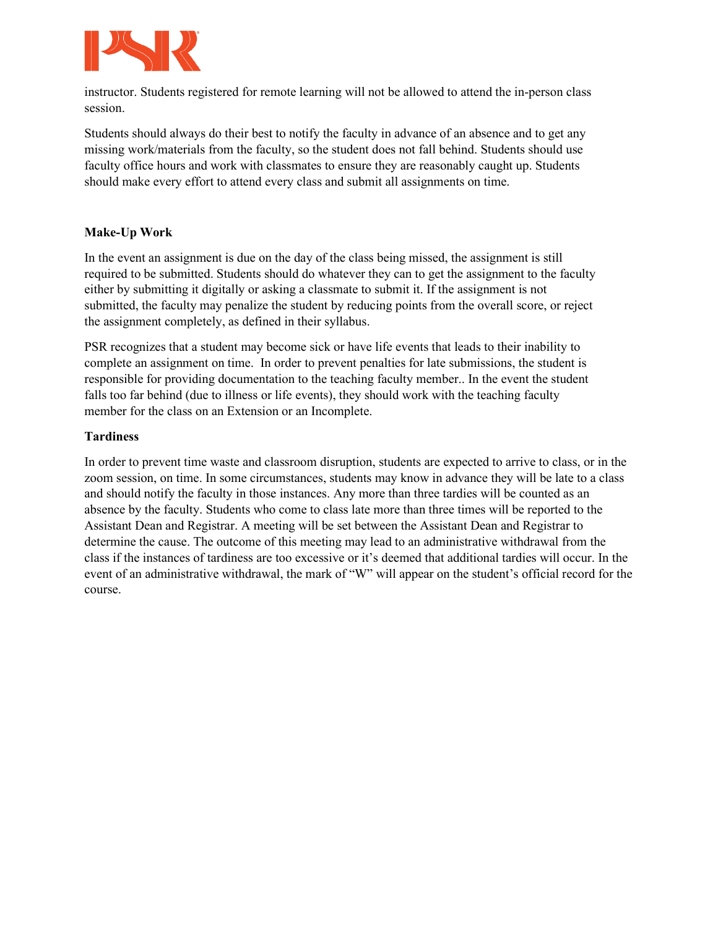

instructor. Students registered for remote learning will not be allowed to attend the in-person class session.

Students should always do their best to notify the faculty in advance of an absence and to get any missing work/materials from the faculty, so the student does not fall behind. Students should use faculty office hours and work with classmates to ensure they are reasonably caught up. Students should make every effort to attend every class and submit all assignments on time.

# **Make-Up Work**

In the event an assignment is due on the day of the class being missed, the assignment is still required to be submitted. Students should do whatever they can to get the assignment to the faculty either by submitting it digitally or asking a classmate to submit it. If the assignment is not submitted, the faculty may penalize the student by reducing points from the overall score, or reject the assignment completely, as defined in their syllabus.

PSR recognizes that a student may become sick or have life events that leads to their inability to complete an assignment on time. In order to prevent penalties for late submissions, the student is responsible for providing documentation to the teaching faculty member.. In the event the student falls too far behind (due to illness or life events), they should work with the teaching faculty member for the class on an Extension or an Incomplete.

### **Tardiness**

In order to prevent time waste and classroom disruption, students are expected to arrive to class, or in the zoom session, on time. In some circumstances, students may know in advance they will be late to a class and should notify the faculty in those instances. Any more than three tardies will be counted as an absence by the faculty. Students who come to class late more than three times will be reported to the Assistant Dean and Registrar. A meeting will be set between the Assistant Dean and Registrar to determine the cause. The outcome of this meeting may lead to an administrative withdrawal from the class if the instances of tardiness are too excessive or it's deemed that additional tardies will occur. In the event of an administrative withdrawal, the mark of "W" will appear on the student's official record for the course.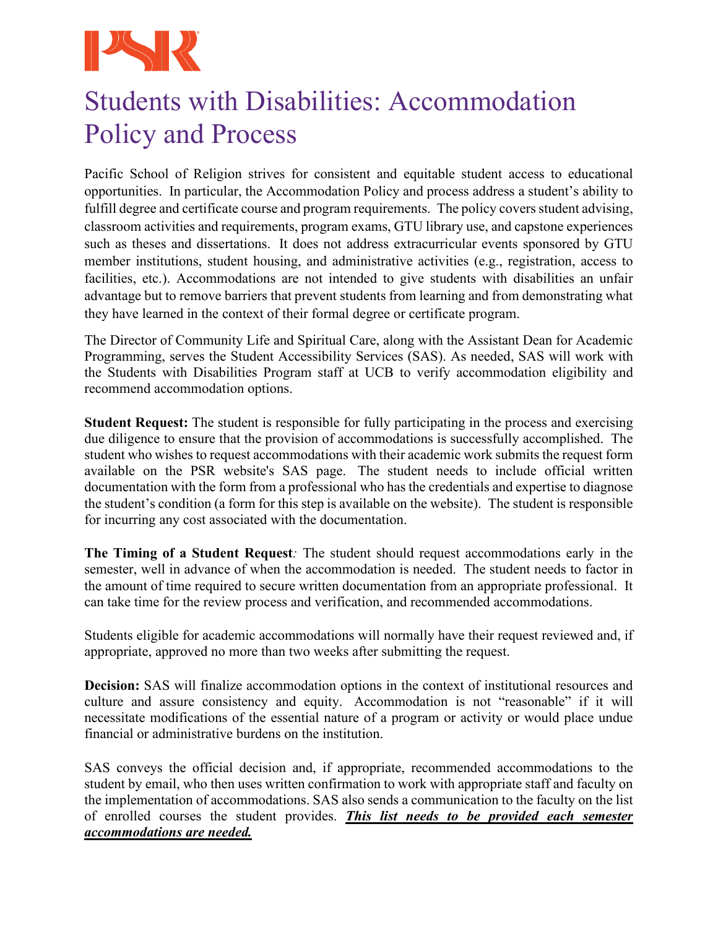

# Students with Disabilities: Accommodation Policy and Process

Pacific School of Religion strives for consistent and equitable student access to educational opportunities. In particular, the Accommodation Policy and process address a student's ability to fulfill degree and certificate course and program requirements. The policy covers student advising, classroom activities and requirements, program exams, GTU library use, and capstone experiences such as theses and dissertations. It does not address extracurricular events sponsored by GTU member institutions, student housing, and administrative activities (e.g., registration, access to facilities, etc.). Accommodations are not intended to give students with disabilities an unfair advantage but to remove barriers that prevent students from learning and from demonstrating what they have learned in the context of their formal degree or certificate program.

The Director of Community Life and Spiritual Care, along with the Assistant Dean for Academic Programming, serves the Student Accessibility Services (SAS). As needed, SAS will work with the Students with Disabilities Program staff at UCB to verify accommodation eligibility and recommend accommodation options.

**Student Request:** The student is responsible for fully participating in the process and exercising due diligence to ensure that the provision of accommodations is successfully accomplished. The student who wishes to request accommodations with their academic work submits the request form available on the PSR website's SAS page. The student needs to include official written documentation with the form from a professional who has the credentials and expertise to diagnose the student's condition (a form for this step is available on the website). The student is responsible for incurring any cost associated with the documentation.

**The Timing of a Student Request***:* The student should request accommodations early in the semester, well in advance of when the accommodation is needed. The student needs to factor in the amount of time required to secure written documentation from an appropriate professional. It can take time for the review process and verification, and recommended accommodations.

Students eligible for academic accommodations will normally have their request reviewed and, if appropriate, approved no more than two weeks after submitting the request.

**Decision:** SAS will finalize accommodation options in the context of institutional resources and culture and assure consistency and equity. Accommodation is not "reasonable" if it will necessitate modifications of the essential nature of a program or activity or would place undue financial or administrative burdens on the institution.

SAS conveys the official decision and, if appropriate, recommended accommodations to the student by email, who then uses written confirmation to work with appropriate staff and faculty on the implementation of accommodations. SAS also sends a communication to the faculty on the list of enrolled courses the student provides. *This list needs to be provided each semester accommodations are needed.*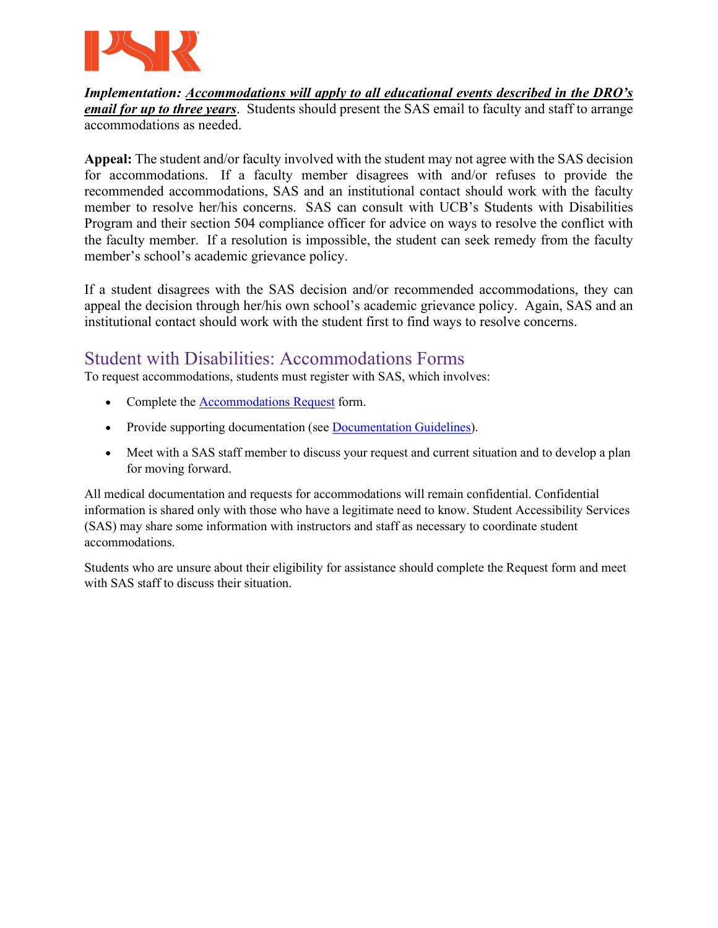

*Implementation: Accommodations will apply to all educational events described in the DRO's email for up to three years*. Students should present the SAS email to faculty and staff to arrange accommodations as needed.

**Appeal:** The student and/or faculty involved with the student may not agree with the SAS decision for accommodations. If a faculty member disagrees with and/or refuses to provide the recommended accommodations, SAS and an institutional contact should work with the faculty member to resolve her/his concerns. SAS can consult with UCB's Students with Disabilities Program and their section 504 compliance officer for advice on ways to resolve the conflict with the faculty member. If a resolution is impossible, the student can seek remedy from the faculty member's school's academic grievance policy.

If a student disagrees with the SAS decision and/or recommended accommodations, they can appeal the decision through her/his own school's academic grievance policy. Again, SAS and an institutional contact should work with the student first to find ways to resolve concerns.

# Student with Disabilities: Accommodations Forms

To request accommodations, students must register with SAS, which involves:

- Complete the [Accommodations Request](https://www.psr.edu/wp-content/uploads/2020/07/Accessibility-Services_Request-Form_-July-2020.pdf) form.
- Provide supporting documentation (see [Documentation Guidelines\)](https://www.psr.edu/wp-content/uploads/2020/07/Disability-Policy-Statement-July-2020_PSR-Update-.pdf).
- Meet with a SAS staff member to discuss your request and current situation and to develop a plan for moving forward.

All medical documentation and requests for accommodations will remain confidential. Confidential information is shared only with those who have a legitimate need to know. Student Accessibility Services (SAS) may share some information with instructors and staff as necessary to coordinate student accommodations.

Students who are unsure about their eligibility for assistance should complete the Request form and meet with SAS staff to discuss their situation.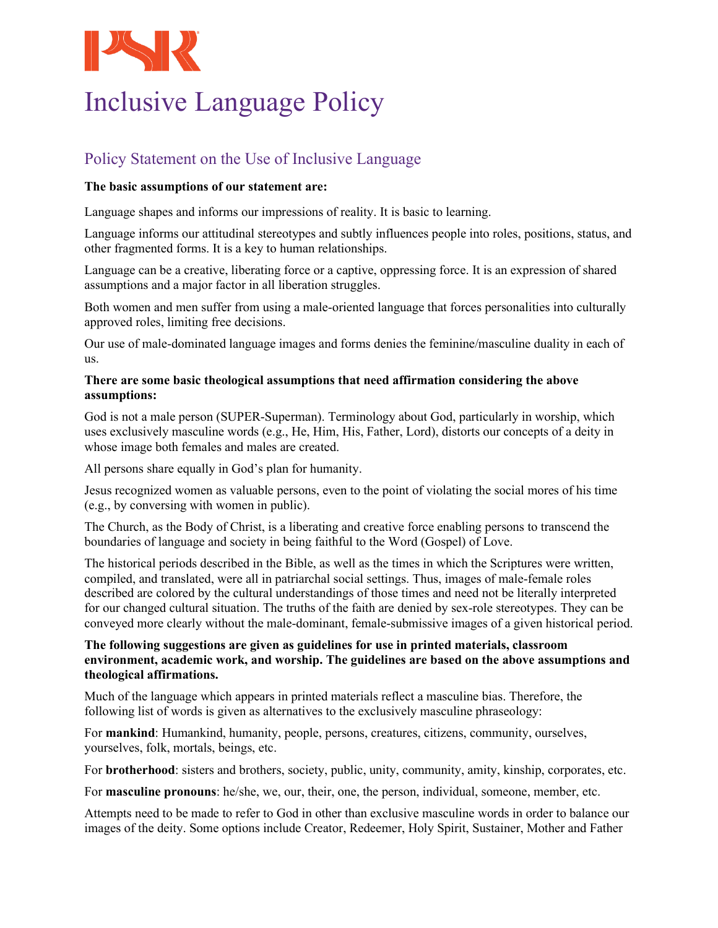

# Inclusive Language Policy

# Policy Statement on the Use of Inclusive Language

## **The basic assumptions of our statement are:**

Language shapes and informs our impressions of reality. It is basic to learning.

Language informs our attitudinal stereotypes and subtly influences people into roles, positions, status, and other fragmented forms. It is a key to human relationships.

Language can be a creative, liberating force or a captive, oppressing force. It is an expression of shared assumptions and a major factor in all liberation struggles.

Both women and men suffer from using a male-oriented language that forces personalities into culturally approved roles, limiting free decisions.

Our use of male-dominated language images and forms denies the feminine/masculine duality in each of us.

## **There are some basic theological assumptions that need affirmation considering the above assumptions:**

God is not a male person (SUPER-Superman). Terminology about God, particularly in worship, which uses exclusively masculine words (e.g., He, Him, His, Father, Lord), distorts our concepts of a deity in whose image both females and males are created.

All persons share equally in God's plan for humanity.

Jesus recognized women as valuable persons, even to the point of violating the social mores of his time (e.g., by conversing with women in public).

The Church, as the Body of Christ, is a liberating and creative force enabling persons to transcend the boundaries of language and society in being faithful to the Word (Gospel) of Love.

The historical periods described in the Bible, as well as the times in which the Scriptures were written, compiled, and translated, were all in patriarchal social settings. Thus, images of male-female roles described are colored by the cultural understandings of those times and need not be literally interpreted for our changed cultural situation. The truths of the faith are denied by sex-role stereotypes. They can be conveyed more clearly without the male-dominant, female-submissive images of a given historical period.

### **The following suggestions are given as guidelines for use in printed materials, classroom environment, academic work, and worship. The guidelines are based on the above assumptions and theological affirmations.**

Much of the language which appears in printed materials reflect a masculine bias. Therefore, the following list of words is given as alternatives to the exclusively masculine phraseology:

For **mankind**: Humankind, humanity, people, persons, creatures, citizens, community, ourselves, yourselves, folk, mortals, beings, etc.

For **brotherhood**: sisters and brothers, society, public, unity, community, amity, kinship, corporates, etc.

For **masculine pronouns**: he/she, we, our, their, one, the person, individual, someone, member, etc.

Attempts need to be made to refer to God in other than exclusive masculine words in order to balance our images of the deity. Some options include Creator, Redeemer, Holy Spirit, Sustainer, Mother and Father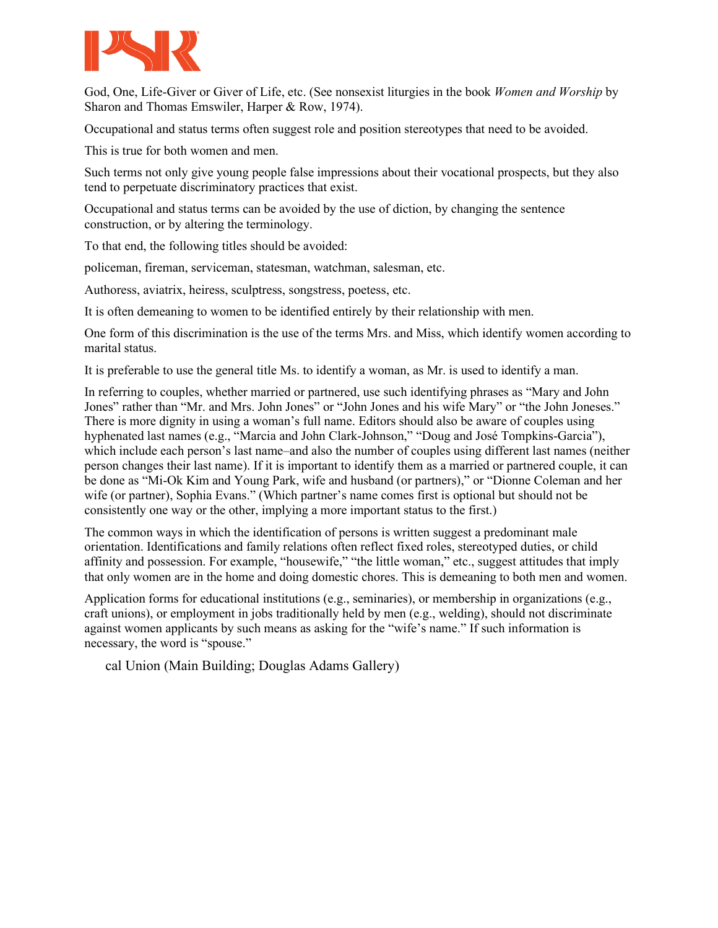

God, One, Life-Giver or Giver of Life, etc. (See nonsexist liturgies in the book *Women and Worship* by Sharon and Thomas Emswiler, Harper & Row, 1974).

Occupational and status terms often suggest role and position stereotypes that need to be avoided.

This is true for both women and men.

Such terms not only give young people false impressions about their vocational prospects, but they also tend to perpetuate discriminatory practices that exist.

Occupational and status terms can be avoided by the use of diction, by changing the sentence construction, or by altering the terminology.

To that end, the following titles should be avoided:

policeman, fireman, serviceman, statesman, watchman, salesman, etc.

Authoress, aviatrix, heiress, sculptress, songstress, poetess, etc.

It is often demeaning to women to be identified entirely by their relationship with men.

One form of this discrimination is the use of the terms Mrs. and Miss, which identify women according to marital status.

It is preferable to use the general title Ms. to identify a woman, as Mr. is used to identify a man.

In referring to couples, whether married or partnered, use such identifying phrases as "Mary and John Jones" rather than "Mr. and Mrs. John Jones" or "John Jones and his wife Mary" or "the John Joneses." There is more dignity in using a woman's full name. Editors should also be aware of couples using hyphenated last names (e.g., "Marcia and John Clark-Johnson," "Doug and José Tompkins-Garcia"), which include each person's last name–and also the number of couples using different last names (neither person changes their last name). If it is important to identify them as a married or partnered couple, it can be done as "Mi-Ok Kim and Young Park, wife and husband (or partners)," or "Dionne Coleman and her wife (or partner), Sophia Evans." (Which partner's name comes first is optional but should not be consistently one way or the other, implying a more important status to the first.)

The common ways in which the identification of persons is written suggest a predominant male orientation. Identifications and family relations often reflect fixed roles, stereotyped duties, or child affinity and possession. For example, "housewife," "the little woman," etc., suggest attitudes that imply that only women are in the home and doing domestic chores. This is demeaning to both men and women.

Application forms for educational institutions (e.g., seminaries), or membership in organizations (e.g., craft unions), or employment in jobs traditionally held by men (e.g., welding), should not discriminate against women applicants by such means as asking for the "wife's name." If such information is necessary, the word is "spouse."

cal Union (Main Building; Douglas Adams Gallery)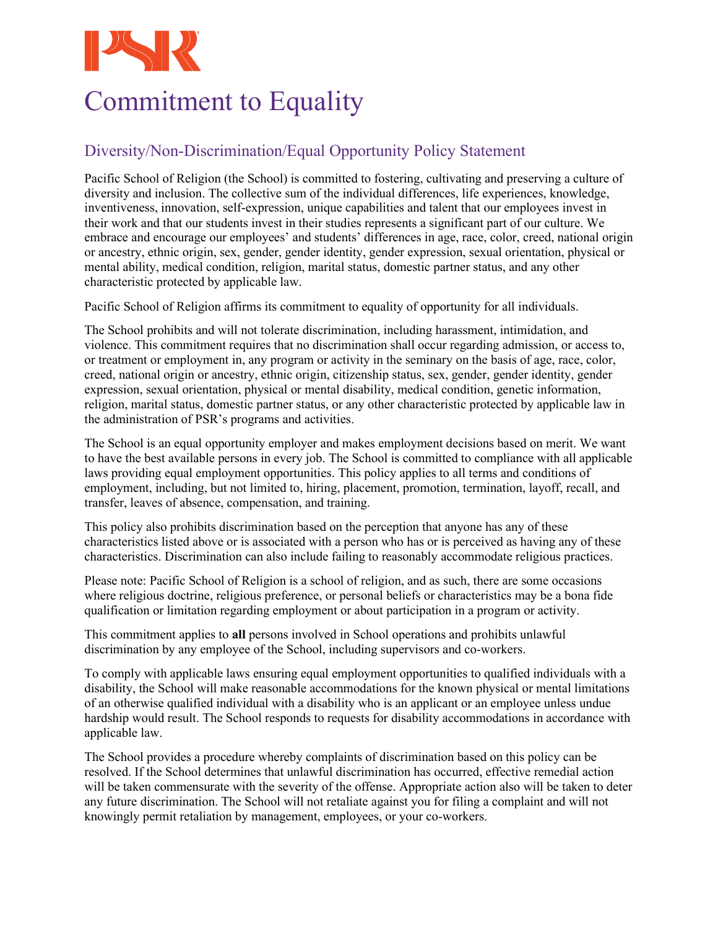

# Commitment to Equality

# Diversity/Non-Discrimination/Equal Opportunity Policy Statement

Pacific School of Religion (the School) is committed to fostering, cultivating and preserving a culture of diversity and inclusion. The collective sum of the individual differences, life experiences, knowledge, inventiveness, innovation, self-expression, unique capabilities and talent that our employees invest in their work and that our students invest in their studies represents a significant part of our culture. We embrace and encourage our employees' and students' differences in age, race, color, creed, national origin or ancestry, ethnic origin, sex, gender, gender identity, gender expression, sexual orientation, physical or mental ability, medical condition, religion, marital status, domestic partner status, and any other characteristic protected by applicable law.

Pacific School of Religion affirms its commitment to equality of opportunity for all individuals.

The School prohibits and will not tolerate discrimination, including harassment, intimidation, and violence. This commitment requires that no discrimination shall occur regarding admission, or access to, or treatment or employment in, any program or activity in the seminary on the basis of age, race, color, creed, national origin or ancestry, ethnic origin, citizenship status, sex, gender, gender identity, gender expression, sexual orientation, physical or mental disability, medical condition, genetic information, religion, marital status, domestic partner status, or any other characteristic protected by applicable law in the administration of PSR's programs and activities.

The School is an equal opportunity employer and makes employment decisions based on merit. We want to have the best available persons in every job. The School is committed to compliance with all applicable laws providing equal employment opportunities. This policy applies to all terms and conditions of employment, including, but not limited to, hiring, placement, promotion, termination, layoff, recall, and transfer, leaves of absence, compensation, and training.

This policy also prohibits discrimination based on the perception that anyone has any of these characteristics listed above or is associated with a person who has or is perceived as having any of these characteristics. Discrimination can also include failing to reasonably accommodate religious practices.

Please note: Pacific School of Religion is a school of religion, and as such, there are some occasions where religious doctrine, religious preference, or personal beliefs or characteristics may be a bona fide qualification or limitation regarding employment or about participation in a program or activity.

This commitment applies to **all** persons involved in School operations and prohibits unlawful discrimination by any employee of the School, including supervisors and co-workers.

To comply with applicable laws ensuring equal employment opportunities to qualified individuals with a disability, the School will make reasonable accommodations for the known physical or mental limitations of an otherwise qualified individual with a disability who is an applicant or an employee unless undue hardship would result. The School responds to requests for disability accommodations in accordance with applicable law.

The School provides a procedure whereby complaints of discrimination based on this policy can be resolved. If the School determines that unlawful discrimination has occurred, effective remedial action will be taken commensurate with the severity of the offense. Appropriate action also will be taken to deter any future discrimination. The School will not retaliate against you for filing a complaint and will not knowingly permit retaliation by management, employees, or your co-workers.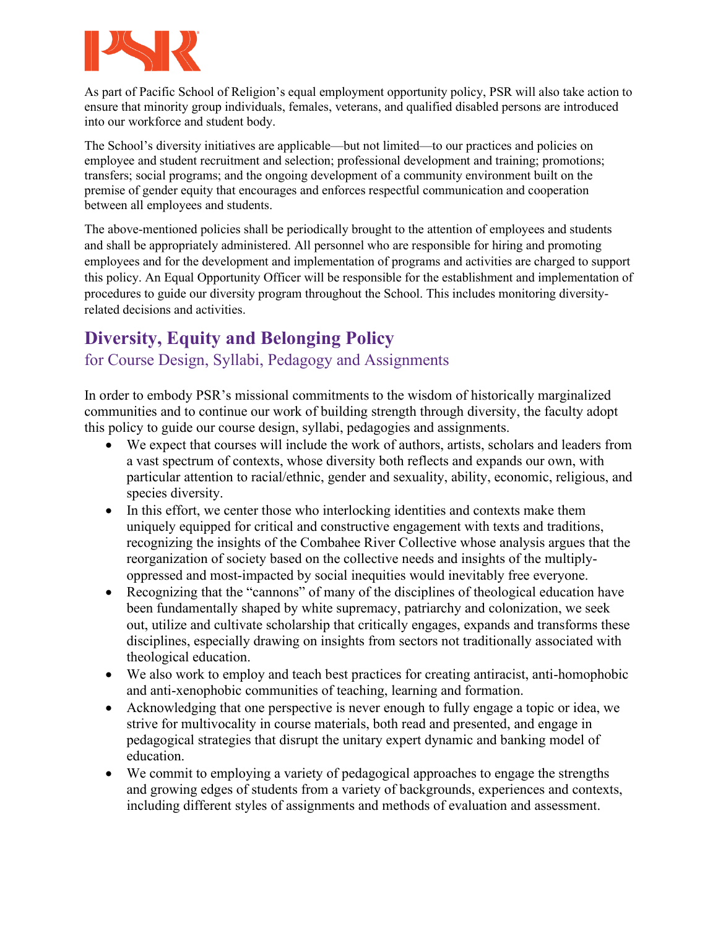

As part of Pacific School of Religion's equal employment opportunity policy, PSR will also take action to ensure that minority group individuals, females, veterans, and qualified disabled persons are introduced into our workforce and student body.

The School's diversity initiatives are applicable—but not limited—to our practices and policies on employee and student recruitment and selection; professional development and training; promotions; transfers; social programs; and the ongoing development of a community environment built on the premise of gender equity that encourages and enforces respectful communication and cooperation between all employees and students.

The above-mentioned policies shall be periodically brought to the attention of employees and students and shall be appropriately administered. All personnel who are responsible for hiring and promoting employees and for the development and implementation of programs and activities are charged to support this policy. An Equal Opportunity Officer will be responsible for the establishment and implementation of procedures to guide our diversity program throughout the School. This includes monitoring diversityrelated decisions and activities.

# **Diversity, Equity and Belonging Policy**

# for Course Design, Syllabi, Pedagogy and Assignments

In order to embody PSR's missional commitments to the wisdom of historically marginalized communities and to continue our work of building strength through diversity, the faculty adopt this policy to guide our course design, syllabi, pedagogies and assignments.

- We expect that courses will include the work of authors, artists, scholars and leaders from a vast spectrum of contexts, whose diversity both reflects and expands our own, with particular attention to racial/ethnic, gender and sexuality, ability, economic, religious, and species diversity.
- In this effort, we center those who interlocking identities and contexts make them uniquely equipped for critical and constructive engagement with texts and traditions, recognizing the insights of the Combahee River Collective whose analysis argues that the reorganization of society based on the collective needs and insights of the multiplyoppressed and most-impacted by social inequities would inevitably free everyone.
- Recognizing that the "cannons" of many of the disciplines of theological education have been fundamentally shaped by white supremacy, patriarchy and colonization, we seek out, utilize and cultivate scholarship that critically engages, expands and transforms these disciplines, especially drawing on insights from sectors not traditionally associated with theological education.
- We also work to employ and teach best practices for creating antiracist, anti-homophobic and anti-xenophobic communities of teaching, learning and formation.
- Acknowledging that one perspective is never enough to fully engage a topic or idea, we strive for multivocality in course materials, both read and presented, and engage in pedagogical strategies that disrupt the unitary expert dynamic and banking model of education.
- We commit to employing a variety of pedagogical approaches to engage the strengths and growing edges of students from a variety of backgrounds, experiences and contexts, including different styles of assignments and methods of evaluation and assessment.